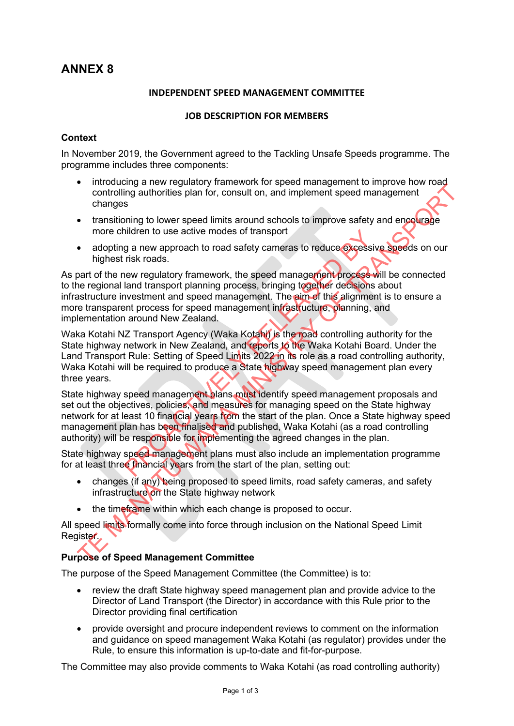# **ANNEX 8**

#### **INDEPENDENT SPEED MANAGEMENT COMMITTEE**

## **JOB DESCRIPTION FOR MEMBERS**

### **Context**

In November 2019, the Government agreed to the Tackling Unsafe Speeds programme. The programme includes three components:

- introducing a new regulatory framework for speed management to improve how road controlling authorities plan for, consult on, and implement speed management changes
- transitioning to lower speed limits around schools to improve safety and encourage more children to use active modes of transport
- adopting a new approach to road safety cameras to reduce excessive speeds on our highest risk roads.

As part of the new regulatory framework, the speed management process will be connected to the regional land transport planning process, bringing together decisions about infrastructure investment and speed management. The aim of this alignment is to ensure a more transparent process for speed management infrastructure, planning, and implementation around New Zealand.

Waka Kotahi NZ Transport Agency (Waka Kotahi) is the road controlling authority for the State highway network in New Zealand, and reports to the Waka Kotahi Board. Under the Land Transport Rule: Setting of Speed Limits 2022 in its role as a road controlling authority, Waka Kotahi will be required to produce a State highway speed management plan every three years.

State highway speed management plans must identify speed management proposals and set out the objectives, policies, and measures for managing speed on the State highway network for at least 10 financial years from the start of the plan. Once a State highway speed management plan has been finalised and published, Waka Kotahi (as a road controlling authority) will be responsible for implementing the agreed changes in the plan. nidren to use active modes of transport<br>
g a new approach to road safety cameras to reduce excessive<br>
risk roads.<br>
Hew regulatory framework, the speed management process and<br>
transport planning process, bringing together d Controlling authorities plan for, consult on, and implement speed management<br>
controlling authorities plan for, consult on, and implement speed management<br>
that is transitioning to lower speed limits around schools to impr

State highway speed management plans must also include an implementation programme for at least three financial years from the start of the plan, setting out:

- changes (if any) being proposed to speed limits, road safety cameras, and safety infrastructure on the State highway network
- the time frame within which each change is proposed to occur.

All speed limits formally come into force through inclusion on the National Speed Limit Register.

# **Purpose of Speed Management Committee**

The purpose of the Speed Management Committee (the Committee) is to:

- review the draft State highway speed management plan and provide advice to the Director of Land Transport (the Director) in accordance with this Rule prior to the Director providing final certification
- provide oversight and procure independent reviews to comment on the information and guidance on speed management Waka Kotahi (as regulator) provides under the Rule, to ensure this information is up-to-date and fit-for-purpose.

The Committee may also provide comments to Waka Kotahi (as road controlling authority)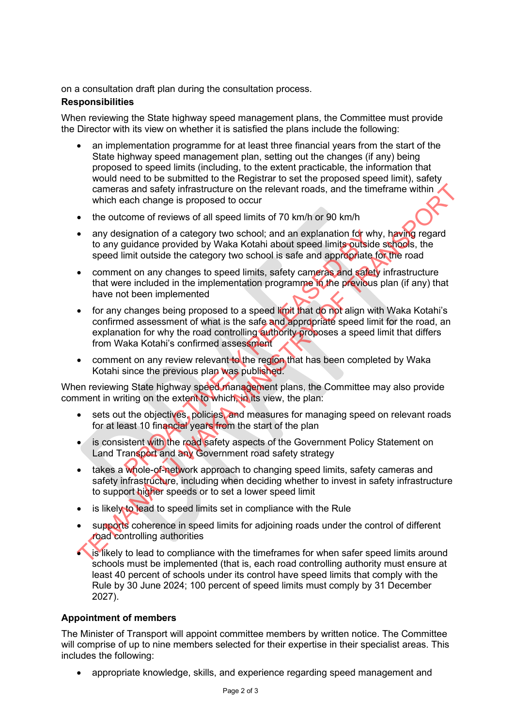on a consultation draft plan during the consultation process.

## **Responsibilities**

When reviewing the State highway speed management plans, the Committee must provide the Director with its view on whether it is satisfied the plans include the following:

- an implementation programme for at least three financial years from the start of the State highway speed management plan, setting out the changes (if any) being proposed to speed limits (including, to the extent practicable, the information that would need to be submitted to the Registrar to set the proposed speed limit), safety cameras and safety infrastructure on the relevant roads, and the timeframe within which each change is proposed to occur
- the outcome of reviews of all speed limits of 70 km/h or 90 km/h
- any designation of a category two school; and an explanation for why, having regard to any guidance provided by Waka Kotahi about speed limits outside schools, the speed limit outside the category two school is safe and appropriate for the road
- comment on any changes to speed limits, safety cameras and safety infrastructure that were included in the implementation programme in the previous plan (if any) that have not been implemented
- for any changes being proposed to a speed limit that do not align with Waka Kotahi's confirmed assessment of what is the safe and appropriate speed limit for the road, an explanation for why the road controlling authority proposes a speed limit that differs from Waka Kotahi's confirmed assessment signation of a category two school; and an explanation for why<br>uidance provided by Waka Kotahi about speed limits outside<br>imit outside the category two school is safe and appropriate f<br>int on any changes to speed limits, s cameras and safety infrastructure on the relevant roads, and the timeframe within<br>
which each change is proposed to occur<br>
the outcome of reviews of all speed limits of 70 km/h or 90 km/h<br>
any designation of a category two
- comment on any review relevant to the region that has been completed by Waka Kotahi since the previous plan was published.

When reviewing State highway speed management plans, the Committee may also provide comment in writing on the extent to which, in its view, the plan:

- sets out the objectives, policies, and measures for managing speed on relevant roads for at least 10 financial years from the start of the plan
- is consistent with the road safety aspects of the Government Policy Statement on Land Transport and any Government road safety strategy
- takes a whole-of-network approach to changing speed limits, safety cameras and safety infrastructure, including when deciding whether to invest in safety infrastructure to support higher speeds or to set a lower speed limit
- is likely to lead to speed limits set in compliance with the Rule
- supports coherence in speed limits for adjoining roads under the control of different road controlling authorities
- **is likely to lead to compliance with the timeframes for when safer speed limits around** schools must be implemented (that is, each road controlling authority must ensure at least 40 percent of schools under its control have speed limits that comply with the Rule by 30 June 2024; 100 percent of speed limits must comply by 31 December 2027).

# **Appointment of members**

The Minister of Transport will appoint committee members by written notice. The Committee will comprise of up to nine members selected for their expertise in their specialist areas. This includes the following:

• appropriate knowledge, skills, and experience regarding speed management and